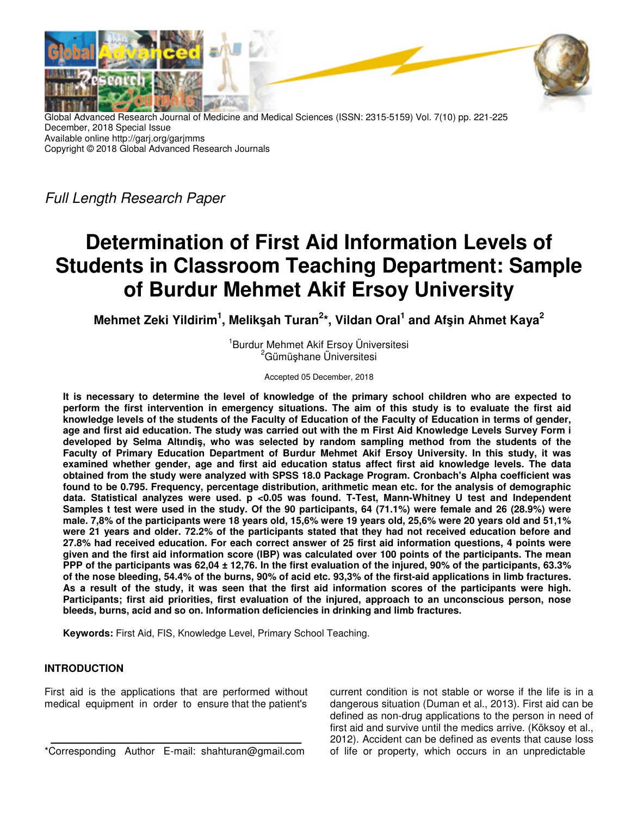

Global Advanced Research Journal of Medicine and Medical Sciences (ISSN: 2315-5159) Vol. 7(10) pp. 221-225 December, 2018 Special Issue Available online http://garj.org/garjmms Copyright © 2018 Global Advanced Research Journals

Full Length Research Paper

# **Determination of First Aid Information Levels of Students in Classroom Teaching Department: Sample of Burdur Mehmet Akif Ersoy University**

**Mehmet Zeki Yildirim<sup>1</sup> , Melikşah Turan<sup>2</sup> \*, Vildan Oral<sup>1</sup> and Afşin Ahmet Kaya<sup>2</sup>**

1 Burdur Mehmet Akif Ersoy Üniversitesi <sup>2</sup>Gümüshane Üniversitesi

Accepted 05 December, 2018

**It is necessary to determine the level of knowledge of the primary school children who are expected to perform the first intervention in emergency situations. The aim of this study is to evaluate the first aid knowledge levels of the students of the Faculty of Education of the Faculty of Education in terms of gender, age and first aid education. The study was carried out with the m First Aid Knowledge Levels Survey Form i developed by Selma Altındiş, who was selected by random sampling method from the students of the Faculty of Primary Education Department of Burdur Mehmet Akif Ersoy University. In this study, it was examined whether gender, age and first aid education status affect first aid knowledge levels. The data obtained from the study were analyzed with SPSS 18.0 Package Program. Cronbach's Alpha coefficient was found to be 0.795. Frequency, percentage distribution, arithmetic mean etc. for the analysis of demographic data. Statistical analyzes were used. p <0.05 was found. T-Test, Mann-Whitney U test and Independent Samples t test were used in the study. Of the 90 participants, 64 (71.1%) were female and 26 (28.9%) were male. 7,8% of the participants were 18 years old, 15,6% were 19 years old, 25,6% were 20 years old and 51,1% were 21 years and older. 72.2% of the participants stated that they had not received education before and 27.8% had received education. For each correct answer of 25 first aid information questions, 4 points were given and the first aid information score (IBP) was calculated over 100 points of the participants. The mean PPP of the participants was 62,04 ± 12,76. In the first evaluation of the injured, 90% of the participants, 63.3% of the nose bleeding, 54.4% of the burns, 90% of acid etc. 93,3% of the first-aid applications in limb fractures. As a result of the study, it was seen that the first aid information scores of the participants were high. Participants; first aid priorities, first evaluation of the injured, approach to an unconscious person, nose bleeds, burns, acid and so on. Information deficiencies in drinking and limb fractures.** 

**Keywords:** First Aid, FIS, Knowledge Level, Primary School Teaching.

# **INTRODUCTION**

First aid is the applications that are performed without medical equipment in order to ensure that the patient's

\*Corresponding Author E-mail: shahturan@gmail.com

current condition is not stable or worse if the life is in a dangerous situation (Duman et al., 2013). First aid can be defined as non-drug applications to the person in need of first aid and survive until the medics arrive. (Köksoy et al., 2012). Accident can be defined as events that cause loss of life or property, which occurs in an unpredictable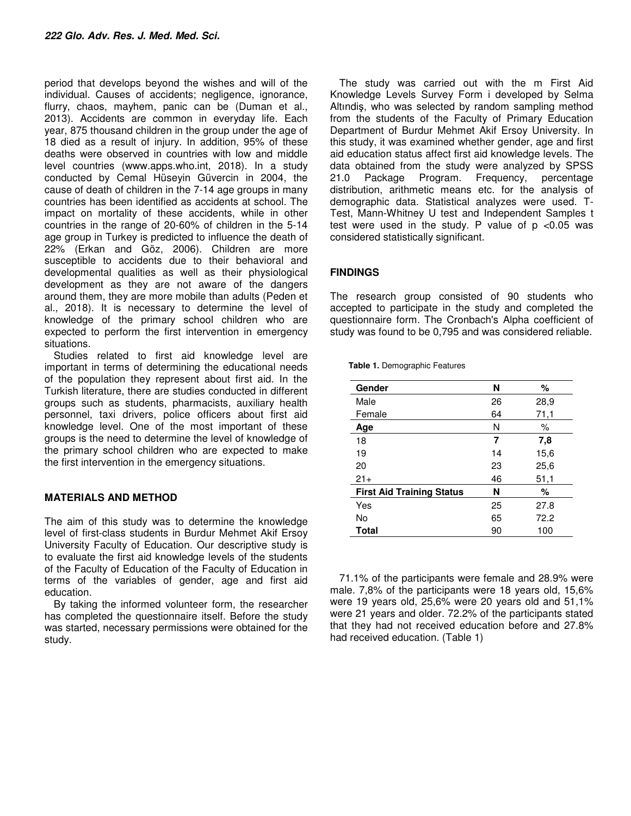period that develops beyond the wishes and will of the individual. Causes of accidents; negligence, ignorance, flurry, chaos, mayhem, panic can be (Duman et al., 2013). Accidents are common in everyday life. Each year, 875 thousand children in the group under the age of 18 died as a result of injury. In addition, 95% of these deaths were observed in countries with low and middle level countries (www.apps.who.int, 2018). In a study conducted by Cemal Hüseyin Güvercin in 2004, the cause of death of children in the 7-14 age groups in many countries has been identified as accidents at school. The impact on mortality of these accidents, while in other countries in the range of 20-60% of children in the 5-14 age group in Turkey is predicted to influence the death of 22% (Erkan and Göz, 2006). Children are more susceptible to accidents due to their behavioral and developmental qualities as well as their physiological development as they are not aware of the dangers around them, they are more mobile than adults (Peden et al., 2018). It is necessary to determine the level of knowledge of the primary school children who are expected to perform the first intervention in emergency situations.

Studies related to first aid knowledge level are important in terms of determining the educational needs of the population they represent about first aid. In the Turkish literature, there are studies conducted in different groups such as students, pharmacists, auxiliary health personnel, taxi drivers, police officers about first aid knowledge level. One of the most important of these groups is the need to determine the level of knowledge of the primary school children who are expected to make the first intervention in the emergency situations.

## **MATERIALS AND METHOD**

The aim of this study was to determine the knowledge level of first-class students in Burdur Mehmet Akif Ersoy University Faculty of Education. Our descriptive study is to evaluate the first aid knowledge levels of the students of the Faculty of Education of the Faculty of Education in terms of the variables of gender, age and first aid education.

By taking the informed volunteer form, the researcher has completed the questionnaire itself. Before the study was started, necessary permissions were obtained for the study.

The study was carried out with the m First Aid Knowledge Levels Survey Form i developed by Selma Altındiş, who was selected by random sampling method from the students of the Faculty of Primary Education Department of Burdur Mehmet Akif Ersoy University. In this study, it was examined whether gender, age and first aid education status affect first aid knowledge levels. The data obtained from the study were analyzed by SPSS 21.0 Package Program. Frequency, percentage distribution, arithmetic means etc. for the analysis of demographic data. Statistical analyzes were used. T-Test, Mann-Whitney U test and Independent Samples t test were used in the study. P value of  $p$  <0.05 was considered statistically significant.

## **FINDINGS**

The research group consisted of 90 students who accepted to participate in the study and completed the questionnaire form. The Cronbach's Alpha coefficient of study was found to be 0,795 and was considered reliable.

| Gender                           | N  | %    |  |  |
|----------------------------------|----|------|--|--|
| Male                             | 26 | 28,9 |  |  |
| Female                           | 64 | 71,1 |  |  |
| Age                              | N  | ℅    |  |  |
| 18                               | 7  | 7,8  |  |  |
| 19                               | 14 | 15,6 |  |  |
| 20                               | 23 | 25,6 |  |  |
| $21+$                            | 46 | 51,1 |  |  |
| <b>First Aid Training Status</b> | N  | %    |  |  |
| Yes                              | 25 | 27.8 |  |  |
| No                               | 65 | 72.2 |  |  |
| <b>Total</b>                     | 90 | 100  |  |  |

**Table 1.** Demographic Features

71.1% of the participants were female and 28.9% were male. 7,8% of the participants were 18 years old, 15,6% were 19 years old, 25,6% were 20 years old and 51,1% were 21 years and older. 72.2% of the participants stated that they had not received education before and 27.8% had received education. (Table 1)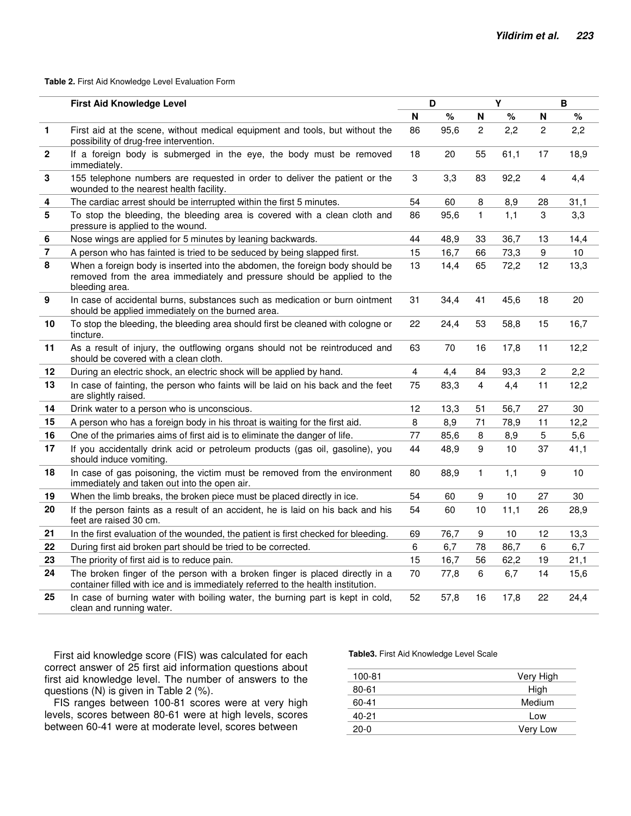#### **Table 2.** First Aid Knowledge Level Evaluation Form

|                | <b>First Aid Knowledge Level</b>                                                                                                                                          | D  |      | Y                |      | B                |      |
|----------------|---------------------------------------------------------------------------------------------------------------------------------------------------------------------------|----|------|------------------|------|------------------|------|
|                |                                                                                                                                                                           | N  | %    | N                | %    | N                | $\%$ |
| 1              | First aid at the scene, without medical equipment and tools, but without the<br>possibility of drug-free intervention.                                                    | 86 | 95,6 | $\overline{2}$   | 2,2  | $\overline{c}$   | 2,2  |
| $\mathbf{2}$   | If a foreign body is submerged in the eye, the body must be removed<br>immediately.                                                                                       | 18 | 20   | 55               | 61,1 | 17               | 18,9 |
| 3              | 155 telephone numbers are requested in order to deliver the patient or the<br>wounded to the nearest health facility.                                                     | 3  | 3,3  | 83               | 92,2 | 4                | 4,4  |
| 4              | The cardiac arrest should be interrupted within the first 5 minutes.                                                                                                      | 54 | 60   | 8                | 8,9  | 28               | 31,1 |
| 5              | To stop the bleeding, the bleeding area is covered with a clean cloth and<br>pressure is applied to the wound.                                                            | 86 | 95,6 | $\mathbf{1}$     | 1,1  | 3                | 3,3  |
| 6              | Nose wings are applied for 5 minutes by leaning backwards.                                                                                                                | 44 | 48,9 | 33               | 36,7 | 13               | 14,4 |
| $\overline{7}$ | A person who has fainted is tried to be seduced by being slapped first.                                                                                                   | 15 | 16,7 | 66               | 73,3 | $\boldsymbol{9}$ | 10   |
| 8              | When a foreign body is inserted into the abdomen, the foreign body should be<br>removed from the area immediately and pressure should be applied to the<br>bleeding area. | 13 | 14,4 | 65               | 72,2 | 12               | 13,3 |
| 9              | In case of accidental burns, substances such as medication or burn ointment<br>should be applied immediately on the burned area.                                          | 31 | 34,4 | 41               | 45,6 | 18               | 20   |
| 10             | To stop the bleeding, the bleeding area should first be cleaned with cologne or<br>tincture.                                                                              | 22 | 24,4 | 53               | 58,8 | 15               | 16,7 |
| 11             | As a result of injury, the outflowing organs should not be reintroduced and<br>should be covered with a clean cloth.                                                      | 63 | 70   | 16               | 17,8 | 11               | 12,2 |
| 12             | During an electric shock, an electric shock will be applied by hand.                                                                                                      | 4  | 4,4  | 84               | 93,3 | $\overline{c}$   | 2,2  |
| 13             | In case of fainting, the person who faints will be laid on his back and the feet<br>are slightly raised.                                                                  | 75 | 83,3 | $\overline{4}$   | 4,4  | 11               | 12,2 |
| 14             | Drink water to a person who is unconscious.                                                                                                                               | 12 | 13,3 | 51               | 56,7 | 27               | 30   |
| 15             | A person who has a foreign body in his throat is waiting for the first aid.                                                                                               | 8  | 8,9  | 71               | 78,9 | 11               | 12,2 |
| 16             | One of the primaries aims of first aid is to eliminate the danger of life.                                                                                                | 77 | 85,6 | 8                | 8,9  | 5                | 5,6  |
| 17             | If you accidentally drink acid or petroleum products (gas oil, gasoline), you<br>should induce vomiting.                                                                  | 44 | 48,9 | 9                | 10   | 37               | 41,1 |
| 18             | In case of gas poisoning, the victim must be removed from the environment<br>immediately and taken out into the open air.                                                 | 80 | 88,9 | $\mathbf{1}$     | 1,1  | 9                | 10   |
| 19             | When the limb breaks, the broken piece must be placed directly in ice.                                                                                                    | 54 | 60   | $\boldsymbol{9}$ | 10   | 27               | 30   |
| 20             | If the person faints as a result of an accident, he is laid on his back and his<br>feet are raised 30 cm.                                                                 | 54 | 60   | 10               | 11,1 | 26               | 28,9 |
| 21             | In the first evaluation of the wounded, the patient is first checked for bleeding.                                                                                        | 69 | 76,7 | 9                | 10   | 12               | 13,3 |
| 22             | During first aid broken part should be tried to be corrected.                                                                                                             | 6  | 6,7  | 78               | 86,7 | 6                | 6,7  |
| 23             | The priority of first aid is to reduce pain.                                                                                                                              | 15 | 16,7 | 56               | 62,2 | 19               | 21,1 |
| 24             | The broken finger of the person with a broken finger is placed directly in a<br>container filled with ice and is immediately referred to the health institution.          | 70 | 77,8 | $\,6\,$          | 6,7  | 14               | 15,6 |
| 25             | In case of burning water with boiling water, the burning part is kept in cold,<br>clean and running water.                                                                | 52 | 57,8 | 16               | 17,8 | 22               | 24,4 |

First aid knowledge score (FIS) was calculated for each correct answer of 25 first aid information questions about first aid knowledge level. The number of answers to the questions (N) is given in Table 2 (%).

FIS ranges between 100-81 scores were at very high levels, scores between 80-61 were at high levels, scores between 60-41 were at moderate level, scores between

**Table3.** First Aid Knowledge Level Scale

| 100-81 | Very High |
|--------|-----------|
| 80-61  | High      |
| 60-41  | Medium    |
| 40-21  | Low       |
| $20-0$ | Very Low  |
|        |           |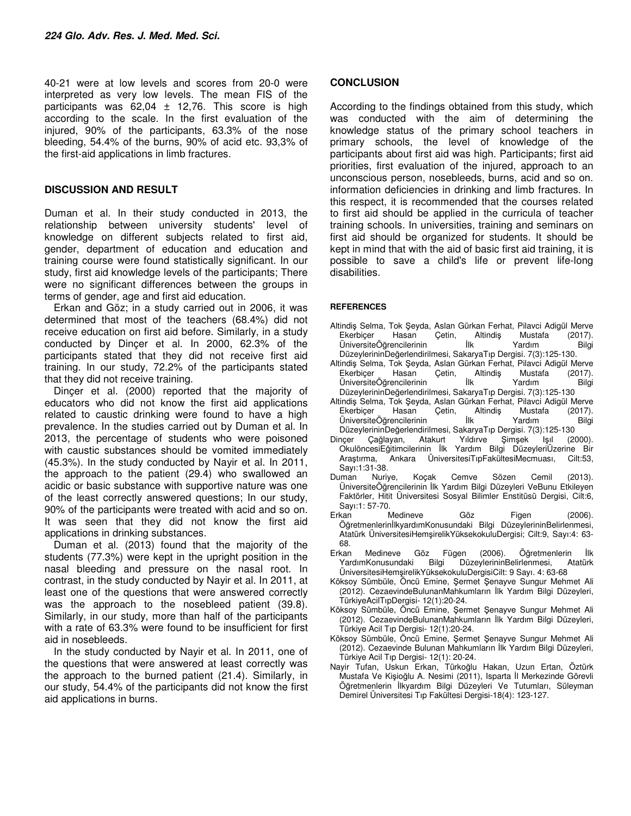40-21 were at low levels and scores from 20-0 were interpreted as very low levels. The mean FIS of the participants was  $62,04 \pm 12,76$ . This score is high according to the scale. In the first evaluation of the injured, 90% of the participants, 63.3% of the nose bleeding, 54.4% of the burns, 90% of acid etc. 93,3% of the first-aid applications in limb fractures.

## **DISCUSSION AND RESULT**

Duman et al. In their study conducted in 2013, the relationship between university students' level of knowledge on different subjects related to first aid, gender, department of education and education and training course were found statistically significant. In our study, first aid knowledge levels of the participants; There were no significant differences between the groups in terms of gender, age and first aid education.

Erkan and Göz; in a study carried out in 2006, it was determined that most of the teachers (68.4%) did not receive education on first aid before. Similarly, in a study conducted by Dinçer et al. In 2000, 62.3% of the participants stated that they did not receive first aid training. In our study, 72.2% of the participants stated that they did not receive training.

Dinçer et al. (2000) reported that the majority of educators who did not know the first aid applications related to caustic drinking were found to have a high prevalence. In the studies carried out by Duman et al. In 2013, the percentage of students who were poisoned with caustic substances should be vomited immediately (45.3%). In the study conducted by Nayir et al. In 2011, the approach to the patient (29.4) who swallowed an acidic or basic substance with supportive nature was one of the least correctly answered questions; In our study, 90% of the participants were treated with acid and so on. It was seen that they did not know the first aid applications in drinking substances.

Duman et al. (2013) found that the majority of the students (77.3%) were kept in the upright position in the nasal bleeding and pressure on the nasal root. In contrast, in the study conducted by Nayir et al. In 2011, at least one of the questions that were answered correctly was the approach to the nosebleed patient (39.8). Similarly, in our study, more than half of the participants with a rate of 63.3% were found to be insufficient for first aid in nosebleeds.

In the study conducted by Nayir et al. In 2011, one of the questions that were answered at least correctly was the approach to the burned patient (21.4). Similarly, in our study, 54.4% of the participants did not know the first aid applications in burns.

## **CONCLUSION**

According to the findings obtained from this study, which was conducted with the aim of determining the knowledge status of the primary school teachers in primary schools, the level of knowledge of the participants about first aid was high. Participants; first aid priorities, first evaluation of the injured, approach to an unconscious person, nosebleeds, burns, acid and so on. information deficiencies in drinking and limb fractures. In this respect, it is recommended that the courses related to first aid should be applied in the curricula of teacher training schools. In universities, training and seminars on first aid should be organized for students. It should be kept in mind that with the aid of basic first aid training, it is possible to save a child's life or prevent life-long disabilities.

### **REFERENCES**

- Altindiş Selma, Tok Şeyda, Aslan Gürkan Ferhat, Pilavci Adigül Merve Ekerbiçer Hasan Çetin, Altindiş Mustafa (2017). ÜniversiteÖğrencilerinin İlk Yardım Bilgi DüzeylerininDeğerlendirilmesi, SakaryaTıp Dergisi. 7(3):125-130.
- Altindiş Selma, Tok Şeyda, Aslan Gürkan Ferhat, Pilavci Adigül Merve Ekerbiçer Hasan Çetin, Altindiş Mustafa<br>ÜniversiteÖğrencilerinin İlk Yardım ÜniversiteÖğrencilerinin İlk Yardım Bilgi DüzeylerininDeğerlendirilmesi, SakaryaTıp Dergisi. 7(3):125-130
- Altindiş Selma, Tok Şeyda, Aslan Gürkan Ferhat, Pilavci Adigül Merve Ekerbiçer Hasan Çetin, Altindiş Mustafa (2017). ÜniversiteÖğrencilerinin İlk Yardım Bilgi DüzeylerininDeğerlendirilmesi, SakaryaTıp Dergisi. 7(3):125-130
- Dinçer Çağlayan, Atakurt Yıldırve Şimşek Işıl (2000). OkulöncesiEğitimcilerinin İlk Yardım Bilgi DüzeyleriÜzerine Bir Araştırma, Ankara ÜniversitesiTıpFakültesiMecmuası, Cilt:53, Sayı:1:31-38.
- Duman Nuriye, Koçak Cemve Sözen Cemil (2013). ÜniversiteÖğrencilerinin İlk Yardım Bilgi Düzeyleri VeBunu Etkileyen Faktörler, Hitit Üniversitesi Sosyal Bilimler Enstitüsü Dergisi, Cilt:6, Sayı:1: 57-70.
- Erkan Medineve Göz Figen (2006). ÖğretmenlerinİlkyardımKonusundaki Bilgi DüzeylerininBelirlenmesi, Atatürk ÜniversitesiHemşirelikYüksekokuluDergisi; Cilt:9, Sayı:4: 63- 68.
- Erkan Medineve Göz Fügen (2006). Öğretmenlerin İlk DüzeylerininBelirlenmesi, Atatürk ÜniversitesiHemşirelikYüksekokuluDergisiCilt: 9 Sayı. 4: 63-68
- Köksoy Sümbüle, Öncü Emine, Şermet Şenayve Sungur Mehmet Ali (2012). CezaevindeBulunanMahkumların İlk Yardım Bilgi Düzeyleri, TürkiyeAcilTıpDergisi- 12(1):20-24.
- Köksoy Sümbüle, Öncü Emine, Şermet Şenayve Sungur Mehmet Ali (2012). CezaevindeBulunanMahkumların İlk Yardım Bilgi Düzeyleri, Türkiye Acil Tıp Dergisi- 12(1):20-24.
- Köksoy Sümbüle, Öncü Emine, Şermet Şenayve Sungur Mehmet Ali (2012). Cezaevinde Bulunan Mahkumların İlk Yardım Bilgi Düzeyleri, Türkiye Acil Tıp Dergisi- 12(1): 20-24.
- Nayir Tufan, Uskun Erkan, Türkoğlu Hakan, Uzun Ertan, Öztürk Mustafa Ve Kişioğlu A. Nesimi (2011), Isparta İl Merkezinde Görevli Öğretmenlerin İlkyardım Bilgi Düzeyleri Ve Tutumları, Süleyman Demirel Üniversitesi Tıp Fakültesi Dergisi-18(4): 123-127.